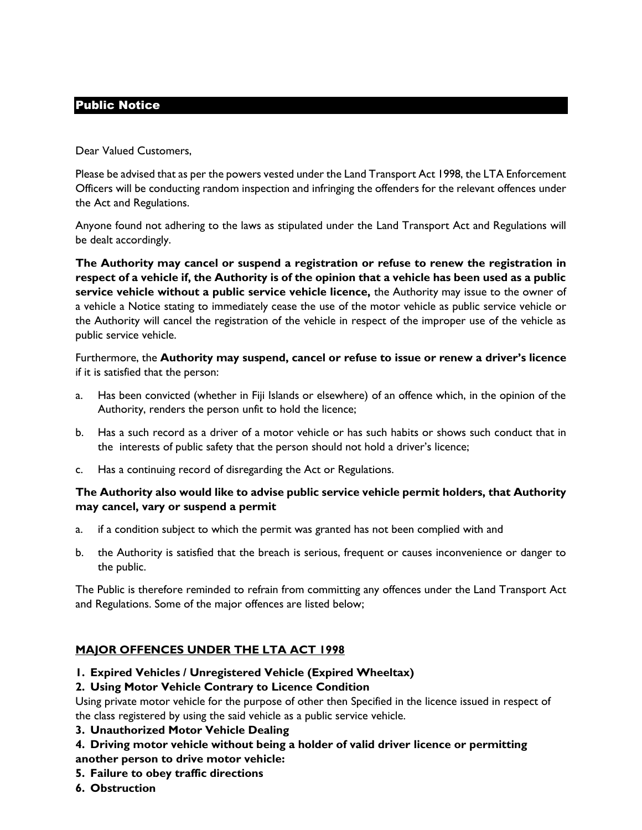# Public Notice

Dear Valued Customers,

Please be advised that as per the powers vested under the Land Transport Act 1998, the LTA Enforcement Officers will be conducting random inspection and infringing the offenders for the relevant offences under the Act and Regulations.

Anyone found not adhering to the laws as stipulated under the Land Transport Act and Regulations will be dealt accordingly.

**The Authority may cancel or suspend a registration or refuse to renew the registration in respect of a vehicle if, the Authority is of the opinion that a vehicle has been used as a public service vehicle without a public service vehicle licence,** the Authority may issue to the owner of a vehicle a Notice stating to immediately cease the use of the motor vehicle as public service vehicle or the Authority will cancel the registration of the vehicle in respect of the improper use of the vehicle as public service vehicle.

Furthermore, the **Authority may suspend, cancel or refuse to issue or renew a driver's licence**  if it is satisfied that the person:

- a. Has been convicted (whether in Fiji Islands or elsewhere) of an offence which, in the opinion of the Authority, renders the person unfit to hold the licence;
- b. Has a such record as a driver of a motor vehicle or has such habits or shows such conduct that in the interests of public safety that the person should not hold a driver's licence;
- c. Has a continuing record of disregarding the Act or Regulations.

#### **The Authority also would like to advise public service vehicle permit holders, that Authority may cancel, vary or suspend a permit**

- a. if a condition subject to which the permit was granted has not been complied with and
- b. the Authority is satisfied that the breach is serious, frequent or causes inconvenience or danger to the public.

The Public is therefore reminded to refrain from committing any offences under the Land Transport Act and Regulations. Some of the major offences are listed below;

# **MAJOR OFFENCES UNDER THE LTA ACT 1998**

**1. Expired Vehicles / Unregistered Vehicle (Expired Wheeltax)**

#### **2. Using Motor Vehicle Contrary to Licence Condition**

Using private motor vehicle for the purpose of other then Specified in the licence issued in respect of the class registered by using the said vehicle as a public service vehicle.

- **3. Unauthorized Motor Vehicle Dealing**
- **4. Driving motor vehicle without being a holder of valid driver licence or permitting**
- **another person to drive motor vehicle:**
- **5. Failure to obey traffic directions**
- **6. Obstruction**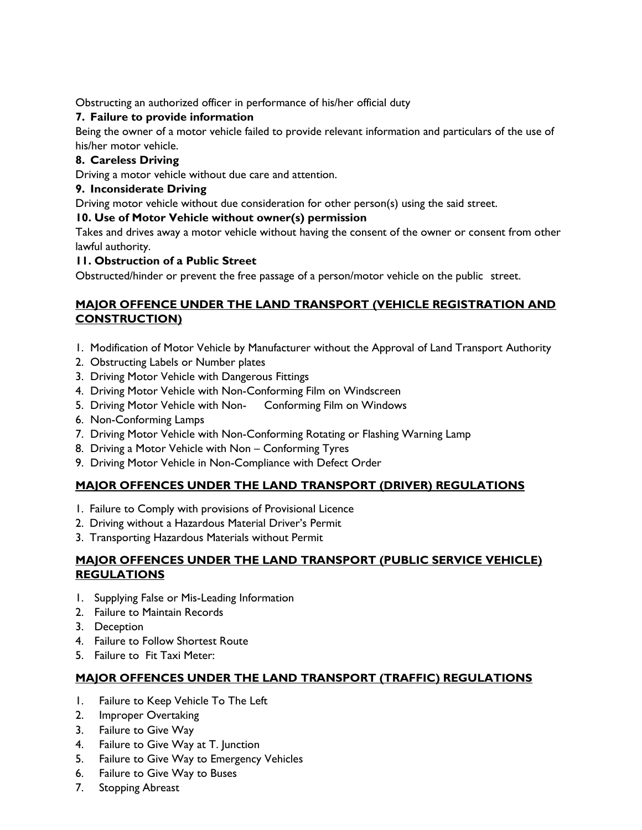Obstructing an authorized officer in performance of his/her official duty

### **7. Failure to provide information**

Being the owner of a motor vehicle failed to provide relevant information and particulars of the use of his/her motor vehicle.

#### **8. Careless Driving**

Driving a motor vehicle without due care and attention.

#### **9. Inconsiderate Driving**

Driving motor vehicle without due consideration for other person(s) using the said street.

# **10. Use of Motor Vehicle without owner(s) permission**

Takes and drives away a motor vehicle without having the consent of the owner or consent from other lawful authority.

#### **11. Obstruction of a Public Street**

Obstructed/hinder or prevent the free passage of a person/motor vehicle on the public street.

# **MAJOR OFFENCE UNDER THE LAND TRANSPORT (VEHICLE REGISTRATION AND CONSTRUCTION)**

- 1. Modification of Motor Vehicle by Manufacturer without the Approval of Land Transport Authority
- 2. Obstructing Labels or Number plates
- 3. Driving Motor Vehicle with Dangerous Fittings
- 4. Driving Motor Vehicle with Non-Conforming Film on Windscreen
- 5. Driving Motor Vehicle with Non- Conforming Film on Windows
- 6. Non-Conforming Lamps
- 7. Driving Motor Vehicle with Non-Conforming Rotating or Flashing Warning Lamp
- 8. Driving a Motor Vehicle with Non Conforming Tyres
- 9. Driving Motor Vehicle in Non-Compliance with Defect Order

# **MAJOR OFFENCES UNDER THE LAND TRANSPORT (DRIVER) REGULATIONS**

- 1. Failure to Comply with provisions of Provisional Licence
- 2. Driving without a Hazardous Material Driver's Permit
- 3. Transporting Hazardous Materials without Permit

#### **MAJOR OFFENCES UNDER THE LAND TRANSPORT (PUBLIC SERVICE VEHICLE) REGULATIONS**

- 1. Supplying False or Mis-Leading Information
- 2. Failure to Maintain Records
- 3. Deception
- 4. Failure to Follow Shortest Route
- 5. Failure to Fit Taxi Meter:

# **MAJOR OFFENCES UNDER THE LAND TRANSPORT (TRAFFIC) REGULATIONS**

- 1. Failure to Keep Vehicle To The Left
- 2. Improper Overtaking
- 3. Failure to Give Way
- 4. Failure to Give Way at T. Junction
- 5. Failure to Give Way to Emergency Vehicles
- 6. Failure to Give Way to Buses
- 7. Stopping Abreast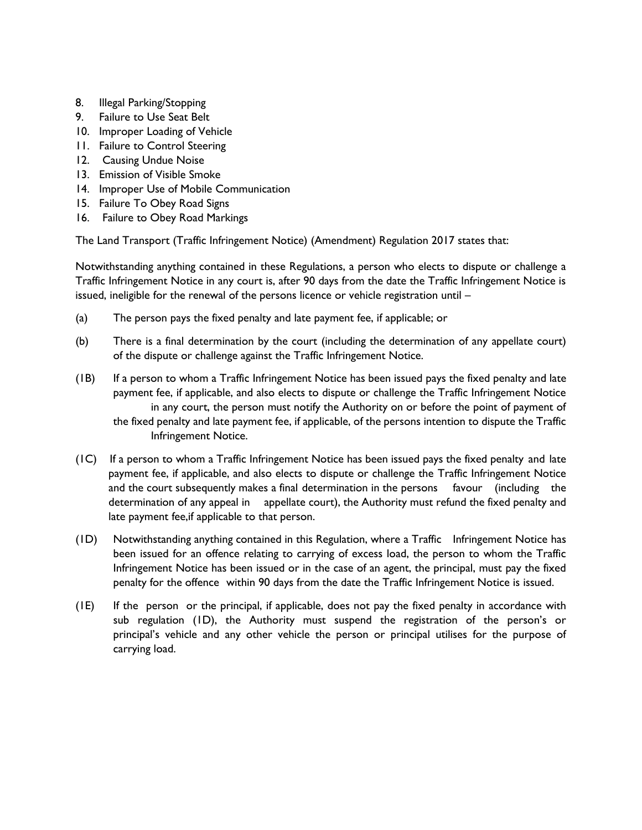- 8. Illegal Parking/Stopping
- 9. Failure to Use Seat Belt
- 10. Improper Loading of Vehicle
- 11. Failure to Control Steering
- 12. Causing Undue Noise
- 13. Emission of Visible Smoke
- 14. Improper Use of Mobile Communication
- 15. Failure To Obey Road Signs
- 16. Failure to Obey Road Markings

The Land Transport (Traffic Infringement Notice) (Amendment) Regulation 2017 states that:

Notwithstanding anything contained in these Regulations, a person who elects to dispute or challenge a Traffic Infringement Notice in any court is, after 90 days from the date the Traffic Infringement Notice is issued, ineligible for the renewal of the persons licence or vehicle registration until –

- (a) The person pays the fixed penalty and late payment fee, if applicable; or
- (b) There is a final determination by the court (including the determination of any appellate court) of the dispute or challenge against the Traffic Infringement Notice.
- (1B) If a person to whom a Traffic Infringement Notice has been issued pays the fixed penalty and late payment fee, if applicable, and also elects to dispute or challenge the Traffic Infringement Notice in any court, the person must notify the Authority on or before the point of payment of the fixed penalty and late payment fee, if applicable, of the persons intention to dispute the Traffic Infringement Notice.
- (1C) If a person to whom a Traffic Infringement Notice has been issued pays the fixed penalty and late payment fee, if applicable, and also elects to dispute or challenge the Traffic Infringement Notice and the court subsequently makes a final determination in the persons favour (including the determination of any appeal in appellate court), the Authority must refund the fixed penalty and late payment fee,if applicable to that person.
- (1D) Notwithstanding anything contained in this Regulation, where a Traffic Infringement Notice has been issued for an offence relating to carrying of excess load, the person to whom the Traffic Infringement Notice has been issued or in the case of an agent, the principal, must pay the fixed penalty for the offence within 90 days from the date the Traffic Infringement Notice is issued.
- (1E) If the person or the principal, if applicable, does not pay the fixed penalty in accordance with sub regulation (1D), the Authority must suspend the registration of the person's or principal's vehicle and any other vehicle the person or principal utilises for the purpose of carrying load.